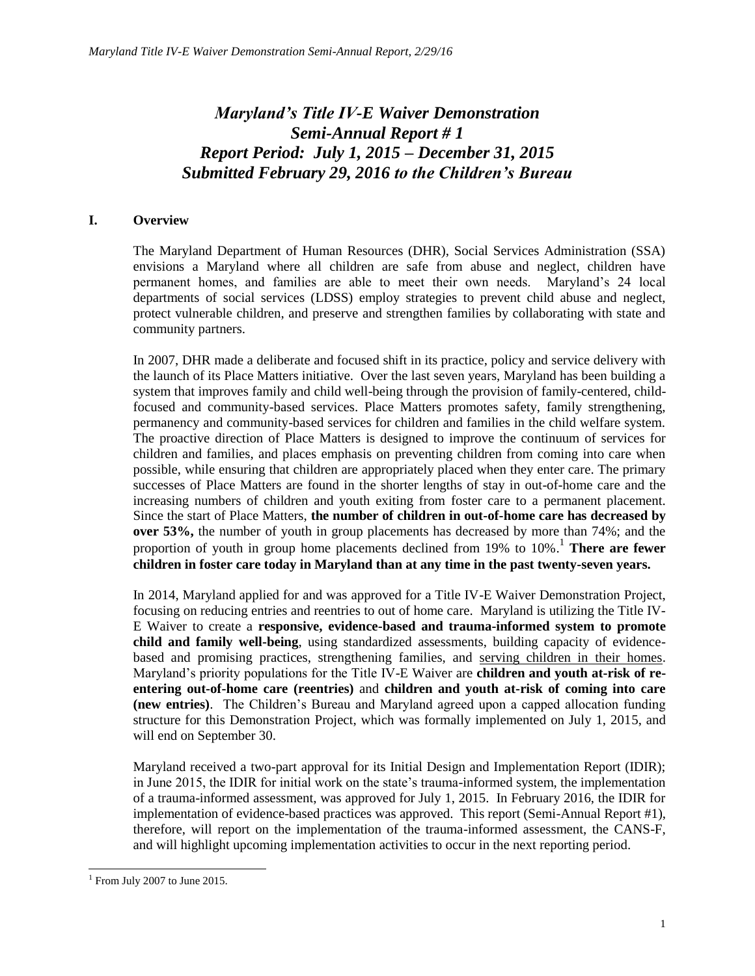# *Maryland's Title IV-E Waiver Demonstration Semi-Annual Report # 1 Report Period: July 1, 2015 – December 31, 2015 Submitted February 29, 2016 to the Children's Bureau*

## **I. Overview**

The Maryland Department of Human Resources (DHR), Social Services Administration (SSA) envisions a Maryland where all children are safe from abuse and neglect, children have permanent homes, and families are able to meet their own needs. Maryland's 24 local departments of social services (LDSS) employ strategies to prevent child abuse and neglect, protect vulnerable children, and preserve and strengthen families by collaborating with state and community partners.

In 2007, DHR made a deliberate and focused shift in its practice, policy and service delivery with the launch of its Place Matters initiative. Over the last seven years, Maryland has been building a system that improves family and child well-being through the provision of family-centered, childfocused and community-based services. Place Matters promotes safety, family strengthening, permanency and community-based services for children and families in the child welfare system. The proactive direction of Place Matters is designed to improve the continuum of services for children and families, and places emphasis on preventing children from coming into care when possible, while ensuring that children are appropriately placed when they enter care. The primary successes of Place Matters are found in the shorter lengths of stay in out-of-home care and the increasing numbers of children and youth exiting from foster care to a permanent placement. Since the start of Place Matters, **the number of children in out-of-home care has decreased by over 53%,** the number of youth in group placements has decreased by more than 74%; and the proportion of youth in group home placements declined from 19% to 10%. <sup>1</sup> **There are fewer children in foster care today in Maryland than at any time in the past twenty-seven years.**

In 2014, Maryland applied for and was approved for a Title IV-E Waiver Demonstration Project, focusing on reducing entries and reentries to out of home care. Maryland is utilizing the Title IV-E Waiver to create a **responsive, evidence-based and trauma-informed system to promote child and family well-being**, using standardized assessments, building capacity of evidencebased and promising practices, strengthening families, and serving children in their homes. Maryland's priority populations for the Title IV-E Waiver are **children and youth at-risk of reentering out-of-home care (reentries)** and **children and youth at-risk of coming into care (new entries)**. The Children's Bureau and Maryland agreed upon a capped allocation funding structure for this Demonstration Project, which was formally implemented on July 1, 2015, and will end on September 30.

Maryland received a two-part approval for its Initial Design and Implementation Report (IDIR); in June 2015, the IDIR for initial work on the state's trauma-informed system, the implementation of a trauma-informed assessment, was approved for July 1, 2015. In February 2016, the IDIR for implementation of evidence-based practices was approved. This report (Semi-Annual Report #1), therefore, will report on the implementation of the trauma-informed assessment, the CANS-F, and will highlight upcoming implementation activities to occur in the next reporting period.

 $\overline{a}$  $1$  From July 2007 to June 2015.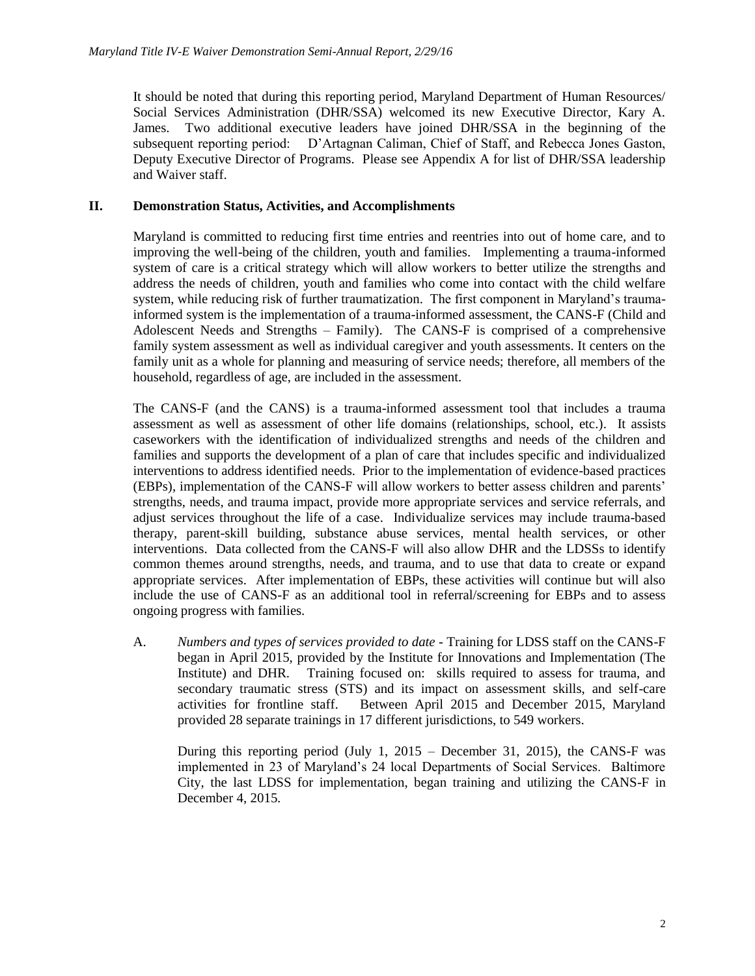It should be noted that during this reporting period, Maryland Department of Human Resources/ Social Services Administration (DHR/SSA) welcomed its new Executive Director, Kary A. James. Two additional executive leaders have joined DHR/SSA in the beginning of the subsequent reporting period: D'Artagnan Caliman, Chief of Staff, and Rebecca Jones Gaston, Deputy Executive Director of Programs. Please see Appendix A for list of DHR/SSA leadership and Waiver staff.

## **II. Demonstration Status, Activities, and Accomplishments**

Maryland is committed to reducing first time entries and reentries into out of home care, and to improving the well-being of the children, youth and families. Implementing a trauma-informed system of care is a critical strategy which will allow workers to better utilize the strengths and address the needs of children, youth and families who come into contact with the child welfare system, while reducing risk of further traumatization. The first component in Maryland's traumainformed system is the implementation of a trauma-informed assessment, the CANS-F (Child and Adolescent Needs and Strengths – Family). The CANS-F is comprised of a comprehensive family system assessment as well as individual caregiver and youth assessments. It centers on the family unit as a whole for planning and measuring of service needs; therefore, all members of the household, regardless of age, are included in the assessment.

The CANS-F (and the CANS) is a trauma-informed assessment tool that includes a trauma assessment as well as assessment of other life domains (relationships, school, etc.). It assists caseworkers with the identification of individualized strengths and needs of the children and families and supports the development of a plan of care that includes specific and individualized interventions to address identified needs. Prior to the implementation of evidence-based practices (EBPs), implementation of the CANS-F will allow workers to better assess children and parents' strengths, needs, and trauma impact, provide more appropriate services and service referrals, and adjust services throughout the life of a case. Individualize services may include trauma-based therapy, parent-skill building, substance abuse services, mental health services, or other interventions. Data collected from the CANS-F will also allow DHR and the LDSSs to identify common themes around strengths, needs, and trauma, and to use that data to create or expand appropriate services. After implementation of EBPs, these activities will continue but will also include the use of CANS-F as an additional tool in referral/screening for EBPs and to assess ongoing progress with families.

A. *Numbers and types of services provided to date* - Training for LDSS staff on the CANS-F began in April 2015, provided by the Institute for Innovations and Implementation (The Institute) and DHR. Training focused on: skills required to assess for trauma, and secondary traumatic stress (STS) and its impact on assessment skills, and self-care activities for frontline staff. Between April 2015 and December 2015, Maryland provided 28 separate trainings in 17 different jurisdictions, to 549 workers.

During this reporting period (July 1, 2015 – December 31, 2015), the CANS-F was implemented in 23 of Maryland's 24 local Departments of Social Services. Baltimore City, the last LDSS for implementation, began training and utilizing the CANS-F in December 4, 2015.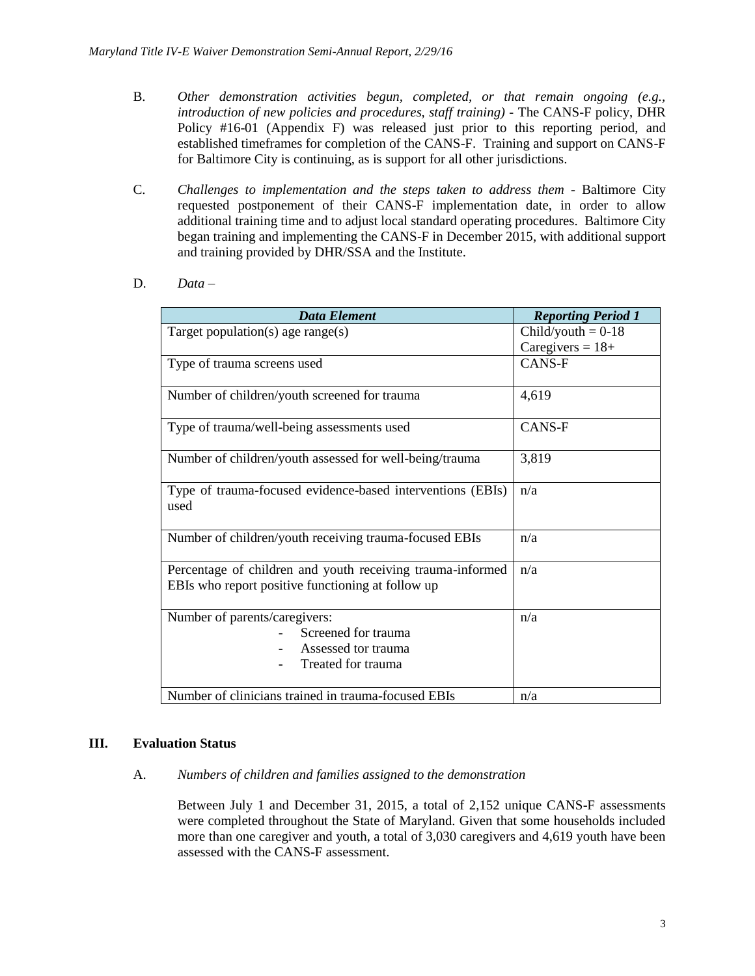- B. *Other demonstration activities begun, completed, or that remain ongoing (e.g., introduction of new policies and procedures, staff training) -* The CANS-F policy, DHR Policy #16-01 (Appendix F) was released just prior to this reporting period, and established timeframes for completion of the CANS-F. Training and support on CANS-F for Baltimore City is continuing, as is support for all other jurisdictions.
- C. *Challenges to implementation and the steps taken to address them -* Baltimore City requested postponement of their CANS-F implementation date, in order to allow additional training time and to adjust local standard operating procedures. Baltimore City began training and implementing the CANS-F in December 2015, with additional support and training provided by DHR/SSA and the Institute.
- D. *Data –*

| <b>Data Element</b>                                                                                             | <b>Reporting Period 1</b> |
|-----------------------------------------------------------------------------------------------------------------|---------------------------|
| Target population(s) age range(s)                                                                               | $Child/$ youth = 0-18     |
|                                                                                                                 | Caregivers = $18+$        |
| Type of trauma screens used                                                                                     | CANS-F                    |
| Number of children/youth screened for trauma                                                                    | 4,619                     |
| Type of trauma/well-being assessments used                                                                      | <b>CANS-F</b>             |
| Number of children/youth assessed for well-being/trauma                                                         | 3,819                     |
| Type of trauma-focused evidence-based interventions (EBIs)<br>used                                              | n/a                       |
| Number of children/youth receiving trauma-focused EBIs                                                          | n/a                       |
| Percentage of children and youth receiving trauma-informed<br>EBIs who report positive functioning at follow up | n/a                       |
| Number of parents/caregivers:<br>Screened for trauma<br>Assessed tor trauma<br>Treated for trauma               | n/a                       |
| Number of clinicians trained in trauma-focused EBIs                                                             | n/a                       |

## **III. Evaluation Status**

#### A. *Numbers of children and families assigned to the demonstration*

Between July 1 and December 31, 2015, a total of 2,152 unique CANS-F assessments were completed throughout the State of Maryland. Given that some households included more than one caregiver and youth, a total of 3,030 caregivers and 4,619 youth have been assessed with the CANS-F assessment.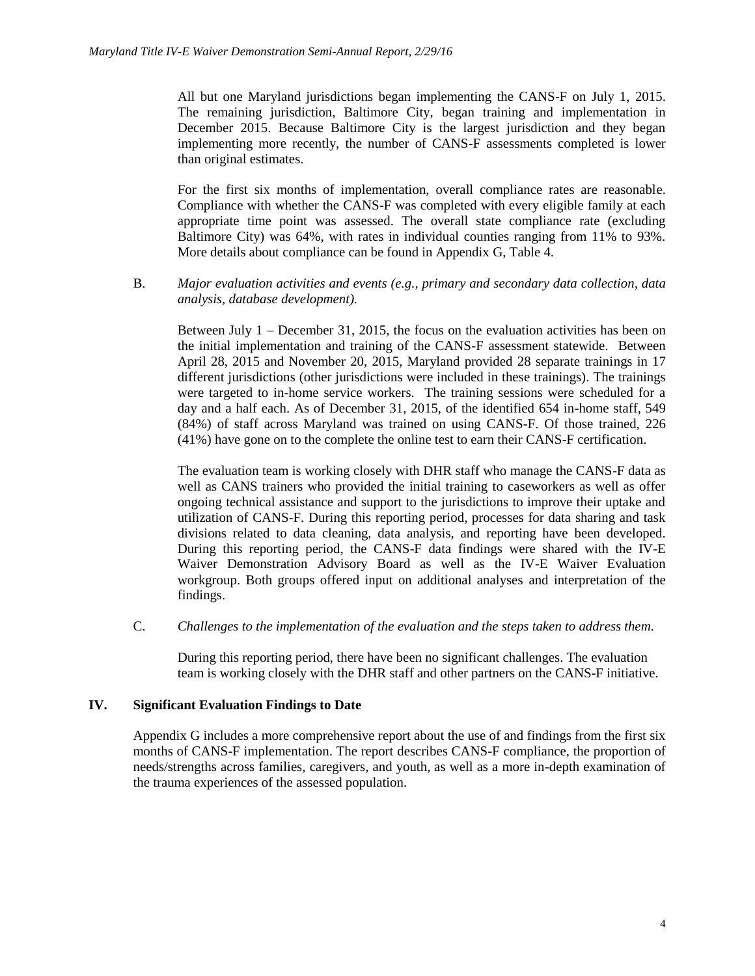All but one Maryland jurisdictions began implementing the CANS-F on July 1, 2015. The remaining jurisdiction, Baltimore City, began training and implementation in December 2015. Because Baltimore City is the largest jurisdiction and they began implementing more recently, the number of CANS-F assessments completed is lower than original estimates.

For the first six months of implementation, overall compliance rates are reasonable. Compliance with whether the CANS-F was completed with every eligible family at each appropriate time point was assessed. The overall state compliance rate (excluding Baltimore City) was 64%, with rates in individual counties ranging from 11% to 93%. More details about compliance can be found in Appendix G, Table 4.

B. *Major evaluation activities and events (e.g., primary and secondary data collection, data analysis, database development).* 

Between July 1 – December 31, 2015, the focus on the evaluation activities has been on the initial implementation and training of the CANS-F assessment statewide. Between April 28, 2015 and November 20, 2015, Maryland provided 28 separate trainings in 17 different jurisdictions (other jurisdictions were included in these trainings). The trainings were targeted to in-home service workers. The training sessions were scheduled for a day and a half each. As of December 31, 2015, of the identified 654 in-home staff, 549 (84%) of staff across Maryland was trained on using CANS-F. Of those trained, 226 (41%) have gone on to the complete the online test to earn their CANS-F certification.

The evaluation team is working closely with DHR staff who manage the CANS-F data as well as CANS trainers who provided the initial training to caseworkers as well as offer ongoing technical assistance and support to the jurisdictions to improve their uptake and utilization of CANS-F. During this reporting period, processes for data sharing and task divisions related to data cleaning, data analysis, and reporting have been developed. During this reporting period, the CANS-F data findings were shared with the IV-E Waiver Demonstration Advisory Board as well as the IV-E Waiver Evaluation workgroup. Both groups offered input on additional analyses and interpretation of the findings.

C. *Challenges to the implementation of the evaluation and the steps taken to address them.*

During this reporting period, there have been no significant challenges. The evaluation team is working closely with the DHR staff and other partners on the CANS-F initiative.

## **IV. Significant Evaluation Findings to Date**

Appendix G includes a more comprehensive report about the use of and findings from the first six months of CANS-F implementation. The report describes CANS-F compliance, the proportion of needs/strengths across families, caregivers, and youth, as well as a more in-depth examination of the trauma experiences of the assessed population.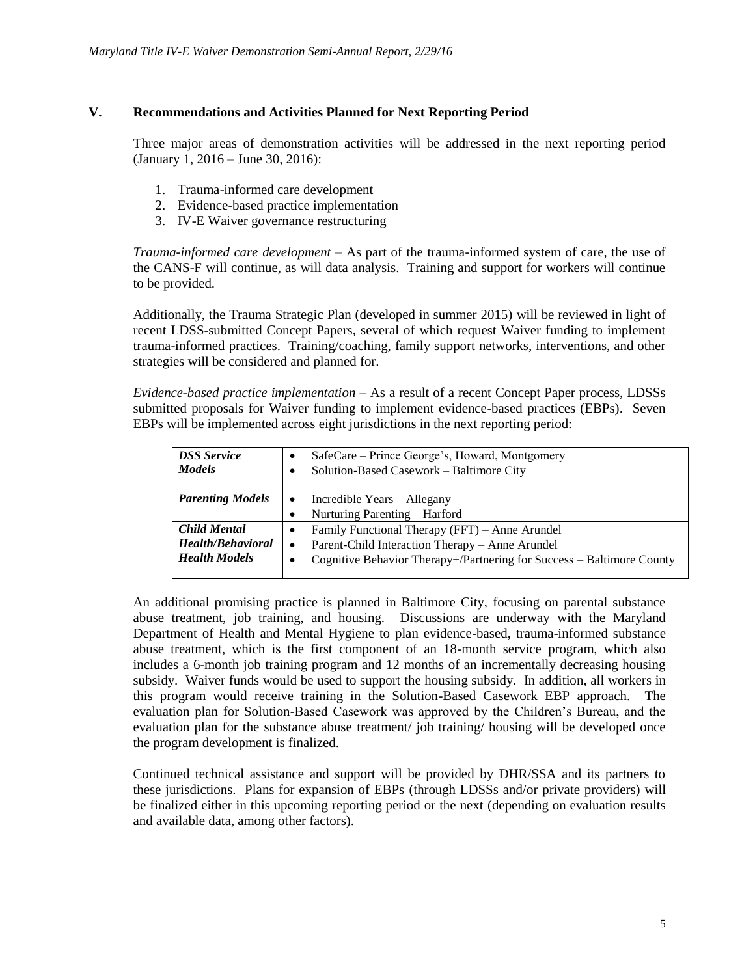## **V. Recommendations and Activities Planned for Next Reporting Period**

Three major areas of demonstration activities will be addressed in the next reporting period (January 1, 2016 – June 30, 2016):

- 1. Trauma-informed care development
- 2. Evidence-based practice implementation
- 3. IV-E Waiver governance restructuring

*Trauma-informed care development* – As part of the trauma-informed system of care, the use of the CANS-F will continue, as will data analysis. Training and support for workers will continue to be provided.

Additionally, the Trauma Strategic Plan (developed in summer 2015) will be reviewed in light of recent LDSS-submitted Concept Papers, several of which request Waiver funding to implement trauma-informed practices. Training/coaching, family support networks, interventions, and other strategies will be considered and planned for.

*Evidence-based practice implementation* – As a result of a recent Concept Paper process, LDSSs submitted proposals for Waiver funding to implement evidence-based practices (EBPs). Seven EBPs will be implemented across eight jurisdictions in the next reporting period:

| <b>DSS</b> Service<br><b>Models</b> | SafeCare – Prince George's, Howard, Montgomery<br>Solution-Based Casework - Baltimore City |
|-------------------------------------|--------------------------------------------------------------------------------------------|
| <b>Parenting Models</b>             | Incredible Years – Allegany<br>$\bullet$                                                   |
|                                     | Nurturing Parenting – Harford                                                              |
| <b>Child Mental</b>                 | Family Functional Therapy (FFT) - Anne Arundel                                             |
| Health/Behavioral                   | Parent-Child Interaction Therapy – Anne Arundel<br>$\bullet$                               |
| <b>Health Models</b>                | Cognitive Behavior Therapy+/Partnering for Success – Baltimore County<br>٠                 |

An additional promising practice is planned in Baltimore City, focusing on parental substance abuse treatment, job training, and housing. Discussions are underway with the Maryland Department of Health and Mental Hygiene to plan evidence-based, trauma-informed substance abuse treatment, which is the first component of an 18-month service program, which also includes a 6-month job training program and 12 months of an incrementally decreasing housing subsidy. Waiver funds would be used to support the housing subsidy. In addition, all workers in this program would receive training in the Solution-Based Casework EBP approach. The evaluation plan for Solution-Based Casework was approved by the Children's Bureau, and the evaluation plan for the substance abuse treatment/ job training/ housing will be developed once the program development is finalized.

Continued technical assistance and support will be provided by DHR/SSA and its partners to these jurisdictions. Plans for expansion of EBPs (through LDSSs and/or private providers) will be finalized either in this upcoming reporting period or the next (depending on evaluation results and available data, among other factors).